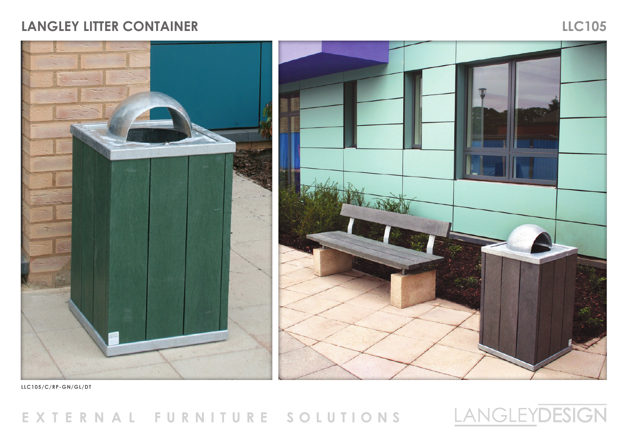## EXTERNAL FURNITURE SOLUTIONS



## **LLC105/C/RP-GN/GL/DT**



## **LANGLEY LITTER CONTAINER LLC105**